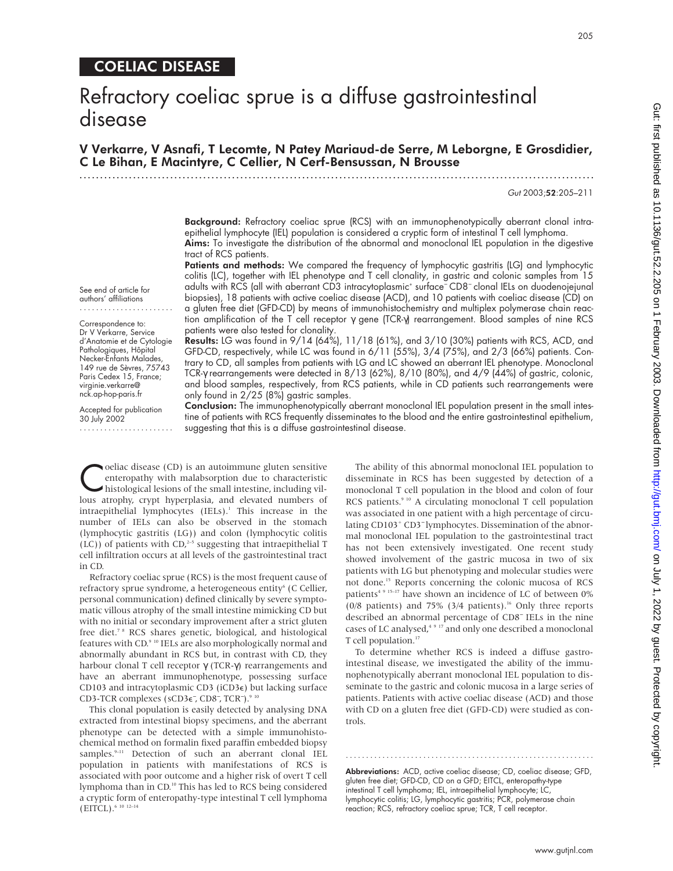## COELIAC DISEASE

# Refractory coeliac sprue is a diffuse gastrointestinal disease

V Verkarre, V Asnafi, T Lecomte, N Patey Mariaud-de Serre, M Leborgne, E Grosdidier, C Le Bihan, E Macintyre, C Cellier, N Cerf-Bensussan, N Brousse

.............................................................................................................................

Gut 2003;52:205–211

Background: Refractory coeliac sprue (RCS) with an immunophenotypically aberrant clonal intraepithelial lymphocyte (IEL) population is considered a cryptic form of intestinal T cell lymphoma. Aims: To investigate the distribution of the abnormal and monoclonal IEL population in the digestive tract of RCS patients.

Patients and methods: We compared the frequency of lymphocytic gastritis (LG) and lymphocytic colitis (LC), together with IEL phenotype and T cell clonality, in gastric and colonic samples from 15 adults with RCS (all with aberrant CD3 intracytoplasmic+ surface<sup>−</sup> CD8<sup>−</sup> clonal IELs on duodenojejunal biopsies), 18 patients with active coeliac disease (ACD), and 10 patients with coeliac disease (CD) on a gluten free diet (GFD-CD) by means of immunohistochemistry and multiplex polymerase chain reaction amplification of the T cell receptor γ gene (TCR-γ) rearrangement. Blood samples of nine RCS patients were also tested for clonality.

Results: LG was found in 9/14 (64%), 11/18 (61%), and 3/10 (30%) patients with RCS, ACD, and GFD-CD, respectively, while LC was found in 6/11 (55%), 3/4 (75%), and 2/3 (66%) patients. Contrary to CD, all samples from patients with LG and LC showed an aberrant IEL phenotype. Monoclonal TCR-γ rearrangements were detected in 8/13 (62%), 8/10 (80%), and 4/9 (44%) of gastric, colonic, and blood samples, respectively, from RCS patients, while in CD patients such rearrangements were only found in 2/25 (8%) gastric samples.

Conclusion: The immunophenotypically aberrant monoclonal IEL population present in the small intestine of patients with RCS frequently disseminates to the blood and the entire gastrointestinal epithelium, suggesting that this is a diffuse gastrointestinal disease.

Coeliac disease (CD) is an autoimmune gluten sensitive<br>
enteropathy with malabsorption due to characteristic<br>
histological lesions of the small intestine, including vil-<br>
leur atrophy crypt hyperplacia and elevated numbers enteropathy with malabsorption due to characteristic lous atrophy, crypt hyperplasia, and elevated numbers of intraepithelial lymphocytes (IELs).<sup>1</sup> This increase in the number of IELs can also be observed in the stomach (lymphocytic gastritis (LG)) and colon (lymphocytic colitis  $(LC)$ ) of patients with CD,<sup>2-5</sup> suggesting that intraepithelial T cell infiltration occurs at all levels of the gastrointestinal tract in CD.

Refractory coeliac sprue (RCS) is the most frequent cause of refractory sprue syndrome, a heterogeneous entity<sup>6</sup> (C Cellier, personal communication) defined clinically by severe symptomatic villous atrophy of the small intestine mimicking CD but with no initial or secondary improvement after a strict gluten free diet.7 8 RCS shares genetic, biological, and histological features with CD.9 10 IELs are also morphologically normal and abnormally abundant in RCS but, in contrast with CD, they harbour clonal T cell receptor γ (TCR-γ) rearrangements and have an aberrant immunophenotype, possessing surface CD103 and intracytoplasmic CD3 (iCD3e) but lacking surface CD3-TCR complexes (sCD3€<sup>-</sup>, CD8<sup>-</sup>, TCR<sup>-</sup>).<sup>9 10</sup>

This clonal population is easily detected by analysing DNA extracted from intestinal biopsy specimens, and the aberrant phenotype can be detected with a simple immunohistochemical method on formalin fixed paraffin embedded biopsy samples.<sup>9-11</sup> Detection of such an aberrant clonal IEL population in patients with manifestations of RCS is associated with poor outcome and a higher risk of overt T cell lymphoma than in CD.10 This has led to RCS being considered a cryptic form of enteropathy-type intestinal T cell lymphoma (EITCL).6 10 12–14

The ability of this abnormal monoclonal IEL population to disseminate in RCS has been suggested by detection of a monoclonal T cell population in the blood and colon of four RCS patients.<sup>9 10</sup> A circulating monoclonal T cell population was associated in one patient with a high percentage of circulating CD103+ CD3<sup>−</sup> lymphocytes. Dissemination of the abnormal monoclonal IEL population to the gastrointestinal tract has not been extensively investigated. One recent study showed involvement of the gastric mucosa in two of six patients with LG but phenotyping and molecular studies were not done.15 Reports concerning the colonic mucosa of RCS patients<sup>4 9 15-17</sup> have shown an incidence of LC of between 0% (0/8 patients) and 75% (3/4 patients).<sup>16</sup> Only three reports described an abnormal percentage of CD8<sup>−</sup> IELs in the nine cases of LC analysed,<sup>4 9 17</sup> and only one described a monoclonal T cell population.<sup>17</sup>

To determine whether RCS is indeed a diffuse gastrointestinal disease, we investigated the ability of the immunophenotypically aberrant monoclonal IEL population to disseminate to the gastric and colonic mucosa in a large series of patients. Patients with active coeliac disease (ACD) and those with CD on a gluten free diet (GFD-CD) were studied as controls.

Abbreviations: ACD, active coeliac disease; CD, coeliac disease; GFD, gluten free diet; GFD-CD, CD on a GFD; EITCL, enteropathy-type intestinal T cell lymphoma; IEL, intraepithelial lymphocyte; LC, lymphocytic colitis; LG, lymphocytic gastritis; PCR, polymerase chain reaction; RCS, refractory coeliac sprue; TCR, T cell receptor.

.............................................................

See end of article for authors' affiliations Correspondence to:

Dr V Verkarre, Service d'Anatomie et de Cytologie Pathologiques, Hôpital Necker-Enfants Malades, 149 rue de Sèvres, 75743 Paris Cedex 15, France; virginie.verkarre@ nck.ap-hop-paris.fr

Accepted for publication 30 July 2002 .......................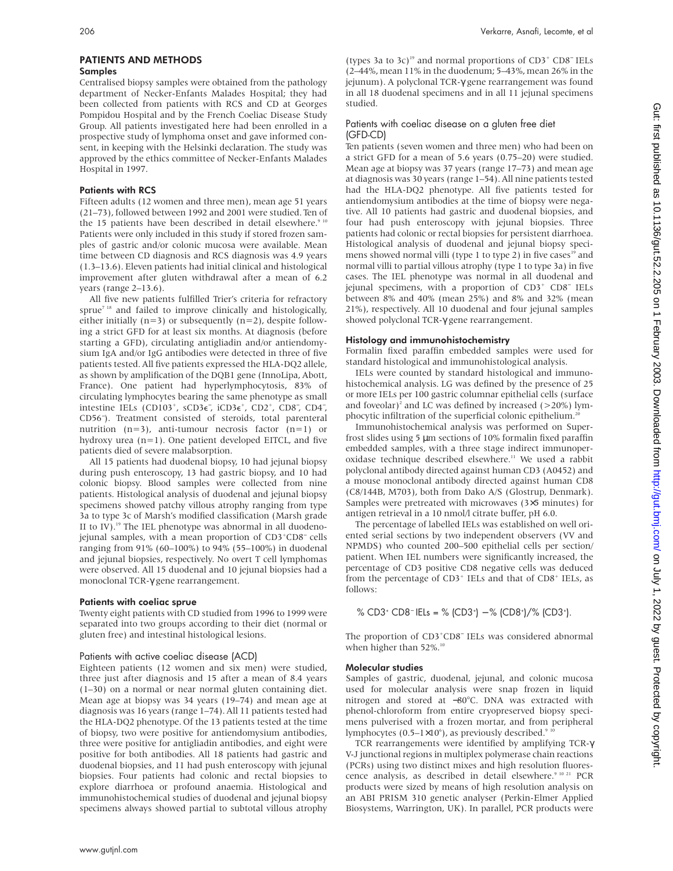#### Samples

Centralised biopsy samples were obtained from the pathology department of Necker-Enfants Malades Hospital; they had been collected from patients with RCS and CD at Georges Pompidou Hospital and by the French Coeliac Disease Study Group. All patients investigated here had been enrolled in a prospective study of lymphoma onset and gave informed consent, in keeping with the Helsinki declaration. The study was approved by the ethics committee of Necker-Enfants Malades Hospital in 1997.

#### Patients with RCS

Fifteen adults (12 women and three men), mean age 51 years (21–73), followed between 1992 and 2001 were studied. Ten of the 15 patients have been described in detail elsewhere.<sup>9 10</sup> Patients were only included in this study if stored frozen samples of gastric and/or colonic mucosa were available. Mean time between CD diagnosis and RCS diagnosis was 4.9 years (1.3–13.6). Eleven patients had initial clinical and histological improvement after gluten withdrawal after a mean of 6.2 years (range 2–13.6).

All five new patients fulfilled Trier's criteria for refractory sprue<sup>7 18</sup> and failed to improve clinically and histologically, either initially  $(n=3)$  or subsequently  $(n=2)$ , despite following a strict GFD for at least six months. At diagnosis (before starting a GFD), circulating antigliadin and/or antiendomysium IgA and/or IgG antibodies were detected in three of five patients tested. All five patients expressed the HLA-DQ2 allele, as shown by amplification of the DQB1 gene (InnoLipa, Abott, France). One patient had hyperlymphocytosis, 83% of circulating lymphocytes bearing the same phenotype as small intestine IELs (CD103<sup>+</sup>, sCD3∈<sup>-</sup>, iCD3∈<sup>+</sup>, CD2<sup>+</sup>, CD8<sup>-</sup>, CD4<sup>-</sup>, CD56<sup>−</sup> ). Treatment consisted of steroids, total parenteral nutrition  $(n=3)$ , anti-tumour necrosis factor  $(n=1)$  or hydroxy urea  $(n=1)$ . One patient developed EITCL, and five patients died of severe malabsorption.

All 15 patients had duodenal biopsy, 10 had jejunal biopsy during push enteroscopy, 13 had gastric biopsy, and 10 had colonic biopsy. Blood samples were collected from nine patients. Histological analysis of duodenal and jejunal biopsy specimens showed patchy villous atrophy ranging from type 3a to type 3c of Marsh's modified classification (Marsh grade II to IV).<sup>19</sup> The IEL phenotype was abnormal in all duodenojejunal samples, with a mean proportion of CD3<sup>+</sup>CD8<sup>−</sup> cells ranging from 91% (60–100%) to 94% (55–100%) in duodenal and jejunal biopsies, respectively. No overt T cell lymphomas were observed. All 15 duodenal and 10 jejunal biopsies had a monoclonal TCR-γ gene rearrangement.

#### Patients with coeliac sprue

Twenty eight patients with CD studied from 1996 to 1999 were separated into two groups according to their diet (normal or gluten free) and intestinal histological lesions.

#### Patients with active coeliac disease (ACD)

Eighteen patients (12 women and six men) were studied, three just after diagnosis and 15 after a mean of 8.4 years (1–30) on a normal or near normal gluten containing diet. Mean age at biopsy was 34 years (19–74) and mean age at diagnosis was 16 years (range 1–74). All 11 patients tested had the HLA-DQ2 phenotype. Of the 13 patients tested at the time of biopsy, two were positive for antiendomysium antibodies, three were positive for antigliadin antibodies, and eight were positive for both antibodies. All 18 patients had gastric and duodenal biopsies, and 11 had push enteroscopy with jejunal biopsies. Four patients had colonic and rectal biopsies to explore diarrhoea or profound anaemia. Histological and immunohistochemical studies of duodenal and jejunal biopsy specimens always showed partial to subtotal villous atrophy

(types 3a to 3c)19 and normal proportions of CD3+ CD8<sup>−</sup> IELs (2–44%, mean 11% in the duodenum; 5–43%, mean 26% in the jejunum). A polyclonal TCR-γ gene rearrangement was found in all 18 duodenal specimens and in all 11 jejunal specimens studied.

#### Patients with coeliac disease on a gluten free diet (GFD-CD)

Ten patients (seven women and three men) who had been on a strict GFD for a mean of 5.6 years (0.75–20) were studied. Mean age at biopsy was 37 years (range 17–73) and mean age at diagnosis was 30 years (range 1–54). All nine patients tested had the HLA-DQ2 phenotype. All five patients tested for antiendomysium antibodies at the time of biopsy were negative. All 10 patients had gastric and duodenal biopsies, and four had push enteroscopy with jejunal biopsies. Three patients had colonic or rectal biopsies for persistent diarrhoea. Histological analysis of duodenal and jejunal biopsy specimens showed normal villi (type 1 to type 2) in five cases<sup>19</sup> and normal villi to partial villous atrophy (type 1 to type 3a) in five cases. The IEL phenotype was normal in all duodenal and jejunal specimens, with a proportion of CD3+ CD8<sup>−</sup> IELs between 8% and 40% (mean 25%) and 8% and 32% (mean 21%), respectively. All 10 duodenal and four jejunal samples showed polyclonal TCR-γ gene rearrangement.

#### Histology and immunohistochemistry

Formalin fixed paraffin embedded samples were used for standard histological and immunohistological analysis.

IELs were counted by standard histological and immunohistochemical analysis. LG was defined by the presence of 25 or more IELs per 100 gastric columnar epithelial cells (surface and foveolar)<sup>2</sup> and LC was defined by increased ( $>$ 20%) lymphocytic infiltration of the superficial colonic epithelium.<sup>20</sup>

Immunohistochemical analysis was performed on Superfrost slides using 5 µm sections of 10% formalin fixed paraffin embedded samples, with a three stage indirect immunoperoxidase technique described elsewhere.<sup>11</sup> We used a rabbit polyclonal antibody directed against human CD3 (A0452) and a mouse monoclonal antibody directed against human CD8 (C8/144B, M703), both from Dako A/S (Glostrup, Denmark). Samples were pretreated with microwaves (3×5 minutes) for antigen retrieval in a 10 nmol/l citrate buffer, pH 6.0.

The percentage of labelled IELs was established on well oriented serial sections by two independent observers (VV and NPMDS) who counted 200–500 epithelial cells per section/ patient. When IEL numbers were significantly increased, the percentage of CD3 positive CD8 negative cells was deduced from the percentage of  $CD3^+$  IELs and that of  $CD8^+$  IELs, as follows:

% CD3+ CD8= IELs = % (CD3+) – % (CD8+)/% (CD3+).

The proportion of CD3<sup>+</sup>CD8<sup>-</sup> IELs was considered abnormal when higher than 52%.<sup>10</sup>

#### Molecular studies

Samples of gastric, duodenal, jejunal, and colonic mucosa used for molecular analysis were snap frozen in liquid nitrogen and stored at −80°C. DNA was extracted with phenol-chloroform from entire cryopreserved biopsy specimens pulverised with a frozen mortar, and from peripheral lymphocytes (0.5–1×10<sup>6</sup>), as previously described.<sup>9 10</sup>

TCR rearrangements were identified by amplifying TCR-γ V-J junctional regions in multiplex polymerase chain reactions (PCRs) using two distinct mixes and high resolution fluorescence analysis, as described in detail elsewhere.<sup>9 10 21</sup> PCR products were sized by means of high resolution analysis on an ABI PRISM 310 genetic analyser (Perkin-Elmer Applied Biosystems, Warrington, UK). In parallel, PCR products were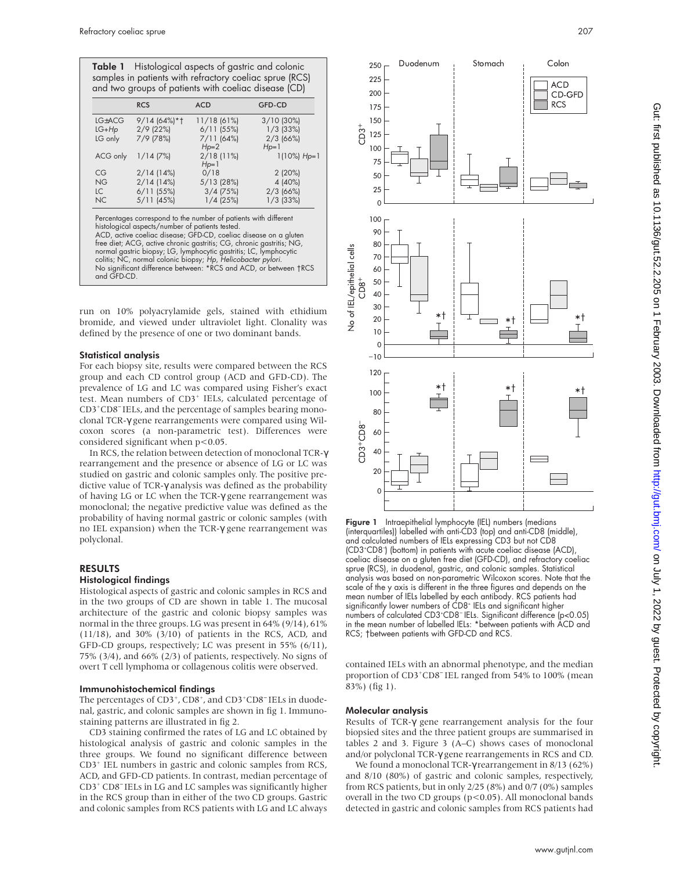Table 1 Histological aspects of gastric and colonic samples in patients with refractory coeliac sprue (RCS) and two groups of patients with coeliac disease (CD)

|           | <b>RCS</b>   | <b>ACD</b>   | GFD-CD         |
|-----------|--------------|--------------|----------------|
| LG+ACG    | 9/14 (64%)*† | 11/18 (61%)  | $3/10$ (30%)   |
| $LG+Hp$   | $2/9$ (22%)  | $6/11$ (55%) | $1/3$ (33%)    |
| LG only   | 7/9 (78%)    | $7/11$ (64%) | $2/3$ (66%)    |
|           |              | $Hp=2$       | $Hp=1$         |
| ACG only  | $1/14$ (7%)  | $2/18$ (11%) | $1(10\%)$ Hp=1 |
|           |              | $Hp=1$       |                |
| CG        | $2/14$ (14%) | 0/18         | 2(20%)         |
| <b>NG</b> | 2/14(14%)    | 5/13 (28%)   | 4 (40%)        |
| LC        | $6/11$ (55%) | $3/4$ (75%)  | $2/3$ (66%)    |
| <b>NC</b> | 5/11 (45%)   | $1/4$ (25%)  | $1/3$ (33%)    |

histological aspects/number of patients tested. ACD, active coeliac disease; GFD-CD, coeliac disease on a gluten free diet; ACG, active chronic gastritis; CG, chronic gastritis; NG, normal gastric biopsy; LG, lymphocytic gastritis; LC, lymphocytic<br>colitis; NC, normal colonic biopsy; Hp, Helicobacter pylori.<br>No significant difference between: \*RCS and ACD, or between †RCS and GFD-CD.

run on 10% polyacrylamide gels, stained with ethidium bromide, and viewed under ultraviolet light. Clonality was defined by the presence of one or two dominant bands.

#### Statistical analysis

For each biopsy site, results were compared between the RCS group and each CD control group (ACD and GFD-CD). The prevalence of LG and LC was compared using Fisher's exact test. Mean numbers of CD3<sup>+</sup> IELs, calculated percentage of CD3<sup>+</sup>CD8<sup>-</sup> IELs, and the percentage of samples bearing monoclonal TCR-γ gene rearrangements were compared using Wilcoxon scores (a non-parametric test). Differences were considered significant when p<0.05.

In RCS, the relation between detection of monoclonal TCR-γ rearrangement and the presence or absence of LG or LC was studied on gastric and colonic samples only. The positive predictive value of TCR-γ analysis was defined as the probability of having LG or LC when the TCR-γ gene rearrangement was monoclonal; the negative predictive value was defined as the probability of having normal gastric or colonic samples (with no IEL expansion) when the TCR-γ gene rearrangement was polyclonal.

#### RESULTS

#### Histological findings

Histological aspects of gastric and colonic samples in RCS and in the two groups of CD are shown in table 1. The mucosal architecture of the gastric and colonic biopsy samples was normal in the three groups. LG was present in 64% (9/14), 61% (11/18), and 30% (3/10) of patients in the RCS, ACD, and GFD-CD groups, respectively; LC was present in 55% (6/11), 75% (3/4), and 66% (2/3) of patients, respectively. No signs of overt T cell lymphoma or collagenous colitis were observed.

#### Immunohistochemical findings

The percentages of CD3<sup>+</sup>, CD8<sup>+</sup>, and CD3<sup>+</sup>CD8<sup>-</sup> IELs in duodenal, gastric, and colonic samples are shown in fig 1. Immunostaining patterns are illustrated in fig 2.

CD3 staining confirmed the rates of LG and LC obtained by histological analysis of gastric and colonic samples in the three groups. We found no significant difference between CD3+ IEL numbers in gastric and colonic samples from RCS, ACD, and GFD-CD patients. In contrast, median percentage of CD3+ CD8<sup>−</sup> IELs in LG and LC samples was significantly higher in the RCS group than in either of the two CD groups. Gastric and colonic samples from RCS patients with LG and LC always



**Figure 1** Intraepithelial lymphocyte (IEL) numbers (medians (interquartiles)) labelled with anti-CD3 (top) and anti-CD8 (middle), and calculated numbers of IELs expressing CD3 but not CD8 (CD3+ CD8<sup>−</sup> ) (bottom) in patients with acute coeliac disease (ACD), coeliac disease on a gluten free diet (GFD-CD), and refractory coeliac sprue (RCS), in duodenal, gastric, and colonic samples. Statistical analysis was based on non-parametric Wilcoxon scores. Note that the scale of the y axis is different in the three figures and depends on the mean number of IELs labelled by each antibody. RCS patients had significantly lower numbers of CD8<sup>+</sup> IELs and significant higher numbers of calculated CD3+ CD8<sup>−</sup> IELs. Significant difference (p<0.05) in the mean number of labelled IELs: \*between patients with ACD and

contained IELs with an abnormal phenotype, and the median proportion of CD3<sup>+</sup>CD8<sup>-</sup> IEL ranged from 54% to 100% (mean 83%) (fig 1).

#### Molecular analysis

Results of TCR-γ gene rearrangement analysis for the four biopsied sites and the three patient groups are summarised in tables 2 and 3. Figure 3 (A–C) shows cases of monoclonal and/or polyclonal TCR-γ gene rearrangements in RCS and CD.

We found a monoclonal TCR-γ rearrangement in 8/13 (62%) and 8/10 (80%) of gastric and colonic samples, respectively, from RCS patients, but in only 2/25 (8%) and 0/7 (0%) samples overall in the two CD groups (p<0.05). All monoclonal bands detected in gastric and colonic samples from RCS patients had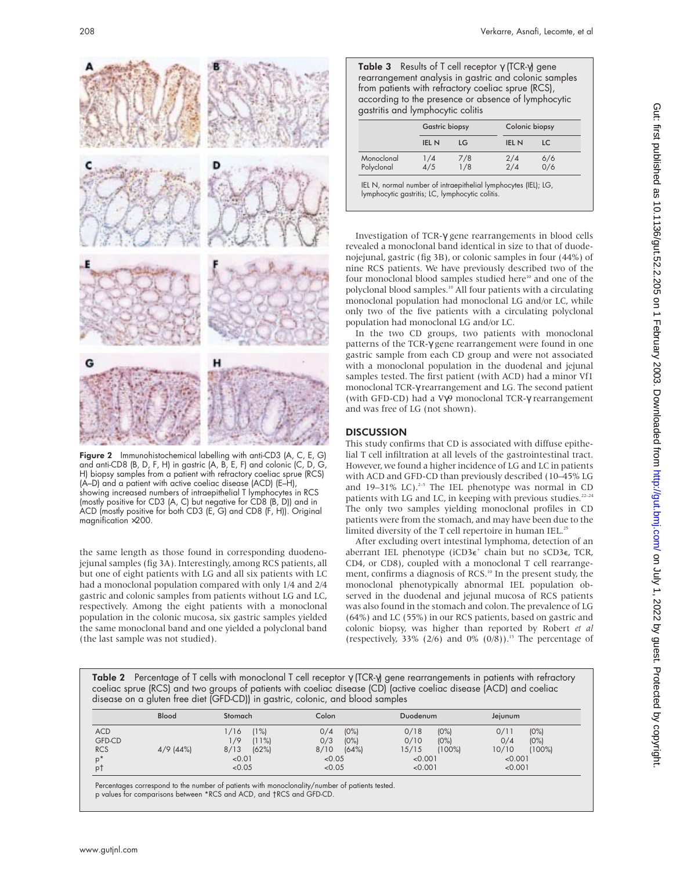

Figure 2 Immunohistochemical labelling with anti-CD3 (A, C, E, G) and anti-CD8 (B, D, F, H) in gastric (A, B, E, F) and colonic (C, D, G, H) biopsy samples from a patient with refractory coeliac sprue (RCS) (A–D) and a patient with active coeliac disease (ACD) (E–H), showing increased numbers of intraepithelial T lymphocytes in RCS (mostly positive for CD3 (A, C) but negative for CD8 (B, D)) and in ACD (mostly positive for both CD3 (E, G) and CD8 (F, H)). Original magnification ×200.

the same length as those found in corresponding duodenojejunal samples (fig 3A). Interestingly, among RCS patients, all but one of eight patients with LG and all six patients with LC had a monoclonal population compared with only 1/4 and 2/4 gastric and colonic samples from patients without LG and LC, respectively. Among the eight patients with a monoclonal population in the colonic mucosa, six gastric samples yielded the same monoclonal band and one yielded a polyclonal band (the last sample was not studied).

Table 3 Results of T cell receptor γ (TCR-γ) gene rearrangement analysis in gastric and colonic samples from patients with refractory coeliac sprue (RCS), according to the presence or absence of lymphocytic gastritis and lymphocytic colitis

|                          |              | <b>Gastric biopsy</b> |              | Colonic biopsy |  |
|--------------------------|--------------|-----------------------|--------------|----------------|--|
|                          | <b>IEL N</b> | LG                    | <b>IEL N</b> | LC             |  |
| Monoclonal<br>Polyclonal | 1/4<br>4/5   | 7/8<br>1/8            | 2/4<br>2/4   | 6/6<br>0/6     |  |

IEL N, normal number of intraepithelial lymphocytes (IEL); LG, lymphocytic gastritis; LC, lymphocytic colitis.

Investigation of TCR-γ gene rearrangements in blood cells revealed a monoclonal band identical in size to that of duodenojejunal, gastric (fig 3B), or colonic samples in four (44%) of nine RCS patients. We have previously described two of the four monoclonal blood samples studied here<sup>10</sup> and one of the polyclonal blood samples.10 All four patients with a circulating monoclonal population had monoclonal LG and/or LC, while only two of the five patients with a circulating polyclonal population had monoclonal LG and/or LC.

In the two CD groups, two patients with monoclonal patterns of the TCR-γ gene rearrangement were found in one gastric sample from each CD group and were not associated with a monoclonal population in the duodenal and jejunal samples tested. The first patient (with ACD) had a minor Vf1 monoclonal TCR-γ rearrangement and LG. The second patient (with GFD-CD) had a Vγ9 monoclonal TCR-γ rearrangement and was free of LG (not shown).

### **DISCUSSION**

This study confirms that CD is associated with diffuse epithelial T cell infiltration at all levels of the gastrointestinal tract. However, we found a higher incidence of LG and LC in patients with ACD and GFD-CD than previously described (10–45% LG and  $19-31\%$  LC).<sup>2-5</sup> The IEL phenotype was normal in CD patients with LG and LC, in keeping with previous studies.<sup>22-24</sup> The only two samples yielding monoclonal profiles in CD patients were from the stomach, and may have been due to the limited diversity of the T cell repertoire in human IEL.<sup>25</sup>

After excluding overt intestinal lymphoma, detection of an aberrant IEL phenotype (iCD3 $\epsilon^+$  chain but no sCD3 $\epsilon$ , TCR, CD4, or CD8), coupled with a monoclonal T cell rearrangement, confirms a diagnosis of RCS.<sup>10</sup> In the present study, the monoclonal phenotypically abnormal IEL population observed in the duodenal and jejunal mucosa of RCS patients was also found in the stomach and colon. The prevalence of LG (64%) and LC (55%) in our RCS patients, based on gastric and colonic biopsy, was higher than reported by Robert *et al* (respectively, 33% (2/6) and 0% (0/8)).<sup>15</sup> The percentage of

Table 2 Percentage of T cells with monoclonal T cell receptor γ (TCR-γ) gene rearrangements in patients with refractory coeliac sprue (RCS) and two groups of patients with coeliac disease (CD) (active coeliac disease (ACD) and coeliac disease on a gluten free diet (GFD-CD)) in gastric, colonic, and blood samples

| Blood                                                                   | Stomach                                                           | Colon                                                              | Duodenum                                                                 | Jejunum                                                                 |
|-------------------------------------------------------------------------|-------------------------------------------------------------------|--------------------------------------------------------------------|--------------------------------------------------------------------------|-------------------------------------------------------------------------|
| <b>ACD</b><br><b>GFD-CD</b><br><b>RCS</b><br>$4/9$ (44%)<br>$p^*$<br>p1 | $11\%$<br>/16<br>/9<br>(11%)<br>8/13<br>(62%)<br>< 0.01<br>< 0.05 | (0%)<br>0/4<br>0/3<br>$(0\%)$<br>8/10<br>(64%)<br>< 0.05<br>< 0.05 | 0/18<br>(0%)<br>0/10<br>(0%)<br>15/15<br>$(100\%)$<br>< 0.001<br>< 0.001 | (0%)<br>0/11<br>(0%)<br>0/4<br>$(100\%)$<br>10/10<br>< 0.001<br>< 0.001 |

Percentages correspond to the number of patients with monoclonality/number of patients tested. p values for comparisons between \*RCS and ACD, and †RCS and GFD-CD.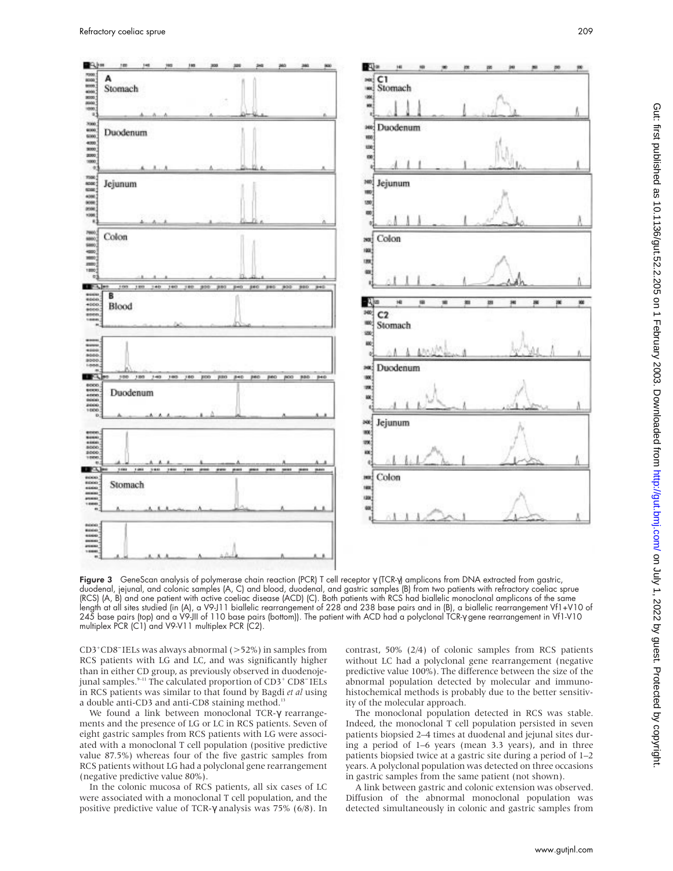BA)

A

B

 $\begin{array}{l} 0.0000 \\ 0.0000 \\ 0.0000 \\ 0.0000 \\ 0.0000 \\ \hline \end{array}$ 





Figure 3 GeneScan analysis of polymerase chain reaction (PCR) T cell receptor γ (TCR-γ) amplicons from DNA extracted from gastric, duodenal, jejunal, and colonic samples (A, C) and blood, duodenal, and gastric samples (B) from two patients with refractory coeliac sprue (RCS) (A, B) and one patient with active coeliac disease (ACD) (C). Both patients with RCS had biallelic monoclonal amplicons of the same length at all sites studied (in (A), a V9-J11 biallelic rearrangement of 228 and 238 base pairs and in (B), a biallelic rearrangement Vf1+V10 of 245 base pairs (top) and a V9-JII of 110 base pairs (bottom)). The patient with ACD had a polyclonal TCR-γ gene rearrangement in Vf1-V10 multiplex PCR (C1) and V9-V11 multiplex PCR (C2).

CD3+ CD8<sup>−</sup> IELs was always abnormal (>52%) in samples from RCS patients with LG and LC, and was significantly higher than in either CD group, as previously observed in duodenojejunal samples.9–11 The calculated proportion of CD3+ CD8<sup>−</sup> IELs in RCS patients was similar to that found by Bagdi *et al* using a double anti-CD3 and anti-CD8 staining method.<sup>1</sup>

We found a link between monoclonal TCR-γ rearrangements and the presence of LG or LC in RCS patients. Seven of eight gastric samples from RCS patients with LG were associated with a monoclonal T cell population (positive predictive value 87.5%) whereas four of the five gastric samples from RCS patients without LG had a polyclonal gene rearrangement (negative predictive value 80%).

In the colonic mucosa of RCS patients, all six cases of LC were associated with a monoclonal T cell population, and the positive predictive value of TCR-γ analysis was 75% (6/8). In contrast, 50% (2/4) of colonic samples from RCS patients without LC had a polyclonal gene rearrangement (negative predictive value 100%). The difference between the size of the abnormal population detected by molecular and immunohistochemical methods is probably due to the better sensitivity of the molecular approach.

The monoclonal population detected in RCS was stable. Indeed, the monoclonal T cell population persisted in seven patients biopsied 2–4 times at duodenal and jejunal sites during a period of 1–6 years (mean 3.3 years), and in three patients biopsied twice at a gastric site during a period of 1–2 years. A polyclonal population was detected on three occasions in gastric samples from the same patient (not shown).

A link between gastric and colonic extension was observed. Diffusion of the abnormal monoclonal population was detected simultaneously in colonic and gastric samples from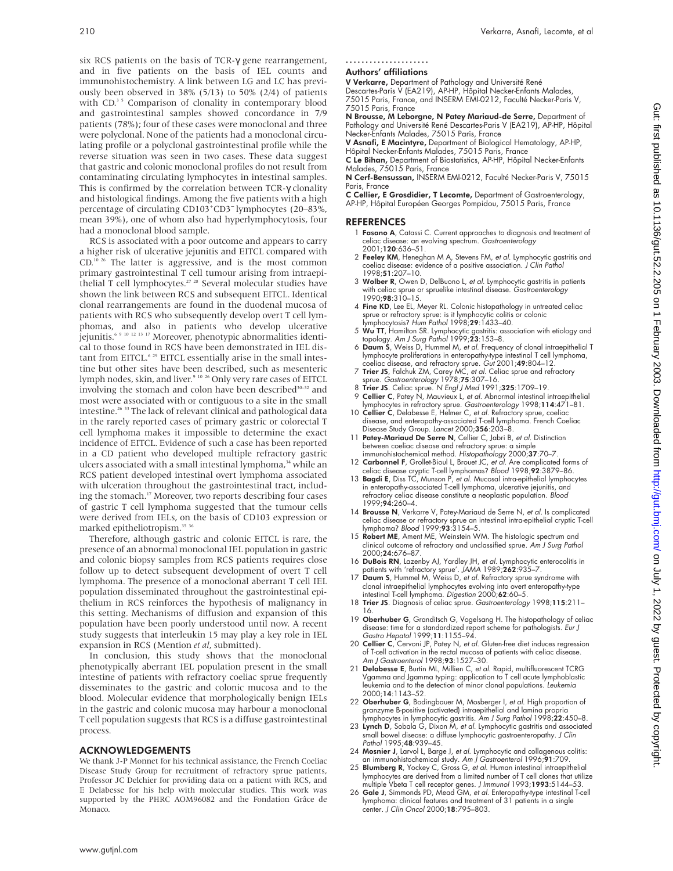six RCS patients on the basis of TCR-γ gene rearrangement, and in five patients on the basis of IEL counts and immunohistochemistry. A link between LG and LC has previously been observed in 38% (5/13) to 50% (2/4) of patients with CD.<sup>35</sup> Comparison of clonality in contemporary blood and gastrointestinal samples showed concordance in 7/9 patients (78%); four of these cases were monoclonal and three were polyclonal. None of the patients had a monoclonal circulating profile or a polyclonal gastrointestinal profile while the reverse situation was seen in two cases. These data suggest that gastric and colonic monoclonal profiles do not result from contaminating circulating lymphocytes in intestinal samples. This is confirmed by the correlation between TCR-γ clonality and histological findings. Among the five patients with a high percentage of circulating CD103<sup>+</sup>CD3<sup>-</sup> lymphocytes (20–83%, mean 39%), one of whom also had hyperlymphocytosis, four had a monoclonal blood sample.

RCS is associated with a poor outcome and appears to carry a higher risk of ulcerative jejunitis and EITCL compared with CD.10 26 The latter is aggressive, and is the most common primary gastrointestinal T cell tumour arising from intraepithelial T cell lymphocytes.27 28 Several molecular studies have shown the link between RCS and subsequent EITCL. Identical clonal rearrangements are found in the duodenal mucosa of patients with RCS who subsequently develop overt T cell lymphomas, and also in patients who develop ulcerative jejunitis.6 9 10 12 13 17 Moreover, phenotypic abnormalities identical to those found in RCS have been demonstrated in IEL distant from EITCL.<sup>6 29</sup> EITCL essentially arise in the small intestine but other sites have been described, such as mesenteric lymph nodes, skin, and liver.<sup>9 10 26</sup> Only very rare cases of EITCL involving the stomach and colon have been described<sup>30-32</sup> and most were associated with or contiguous to a site in the small intestine.26 33 The lack of relevant clinical and pathological data in the rarely reported cases of primary gastric or colorectal T cell lymphoma makes it impossible to determine the exact incidence of EITCL. Evidence of such a case has been reported in a CD patient who developed multiple refractory gastric ulcers associated with a small intestinal lymphoma,<sup>34</sup> while an RCS patient developed intestinal overt lymphoma associated with ulceration throughout the gastrointestinal tract, including the stomach.<sup>17</sup> Moreover, two reports describing four cases of gastric T cell lymphoma suggested that the tumour cells were derived from IELs, on the basis of CD103 expression or marked epitheliotropism.<sup>35</sup> 36

Therefore, although gastric and colonic EITCL is rare, the presence of an abnormal monoclonal IEL population in gastric and colonic biopsy samples from RCS patients requires close follow up to detect subsequent development of overt T cell lymphoma. The presence of a monoclonal aberrant T cell IEL population disseminated throughout the gastrointestinal epithelium in RCS reinforces the hypothesis of malignancy in this setting. Mechanisms of diffusion and expansion of this population have been poorly understood until now. A recent study suggests that interleukin 15 may play a key role in IEL expansion in RCS (Mention *et al*, submitted).

In conclusion, this study shows that the monoclonal phenotypically aberrant IEL population present in the small intestine of patients with refractory coeliac sprue frequently disseminates to the gastric and colonic mucosa and to the blood. Molecular evidence that morphologically benign IELs in the gastric and colonic mucosa may harbour a monoclonal T cell population suggests that RCS is a diffuse gastrointestinal process.

#### ACKNOWLEDGEMENTS

We thank J-P Monnet for his technical assistance, the French Coeliac Disease Study Group for recruitment of refractory sprue patients, Professor JC Delchier for providing data on a patient with RCS, and E Delabesse for his help with molecular studies. This work was supported by the PHRC AOM96082 and the Fondation Grâce de Monaco.

#### ..................... Authors' affiliations

**V Verkarre,** Department of Pathology and Université René<br>Descartes-Paris V (EA219), AP-HP, Hôpital Necker-Enfants Malades, 75015 Paris, France, and INSERM EMI-0212, Faculté Necker-Paris V, 75015 Paris, France

**N Brousse, M Leborgne, N Patey Mariaud-de Serre,** Department of<br>Pathology and Université René Descartes-Paris V (EA219), AP-HP, Hôpital Necker-Enfants Malades, 75015 Paris, France

V Asnafi, E Macintyre, Department of Biological Hematology, AP-HP, Hôpital Necker-Enfants Malades, 75015 Paris, France

C Le Bihan, Department of Biostatistics, AP-HP, Hôpital Necker-Enfants Malades, 75015 Paris, France

N Cerf-Bensussan, INSERM EMI-0212, Faculté Necker-Paris V, 75015 Paris, France

C Cellier, E Grosdidier, T Lecomte, Department of Gastroenterology, AP-HP, Hôpital Européen Georges Pompidou, 75015 Paris, France

#### **REFERENCES**

- 1 **Fasano A**, Catassi C. Current approaches to diagnosis and treatment of celiac disease: an evolving spectrum. Gastroenterology 2001;120:636–51.
- 2 Feeley KM, Heneghan M A, Stevens FM, et al. Lymphocytic gastritis and coeliac disease: evidence of a positive association. J Clin Pathol 1998:51:207-10.
- 3 Wolber R, Owen D, DelBuono L, et al. Lymphocytic gastritis in patients with celiac sprue or spruelike intestinal disease. Gastroenterology 1990;98:310–15.
- 4 Fine KD, Lee EL, Meyer RL. Colonic histopathology in untreated celiac sprue or refractory sprue: is it lymphocytic colitis or colonic lymphocytosis? Hum Pathol 1998;29:1433–40.
- 5 Wu TT, Hamilton SR. Lymphocytic gastritis: association with etiology and topology. Am J Surg Pathol 1999;23:153-8.
- 6 Daum S, Weiss D, Hummel M, et al. Frequency of clonal intraepithelial T lymphocyte proliferations in enteropathy-type intestinal T cell lymphoma, coeliac disease, and refractory sprue. Gut 2001;49:804–12.
- 7 Trier JS, Falchuk ZM, Carey MC, et al. Celiac sprue and refractory sprue. Gastroenterology 1978;75:307–16.
- 8 Trier JS. Celiac sprue. N Engl J Med 1991;325:1709–19. 9 Cellier C, Patey N, Mauvieux L, et al. Abnormal intestinal intraepithelial
- lymphocytes in refractory sprue. *Gastroenterology* 1998;114:471–81.<br>10 **Cellier C**, Delabesse E, Helmer C, *et al*. Refractory sprue, coeliac<br>disease, and enteropathy-associated T-cell lymphoma. French Coeliac Disease Study Group. Lancet 2000;356:203–8.
- 11 Patey-Mariaud De Serre N, Cellier C, Jabri B, et al. Distinction between coeliac disease and refractory sprue: a simple
- immunohistochemical method. Histopathology 2000;37:70–7. 12 Carbonnel F, Grollet-Bioul L, Brouet JC, et al. Are complicated forms of celiac disease cryptic T-cell lymphomas? Blood 1998;92:3879–86.
- 13 Bagdi E, Diss TC, Munson P, et al. Mucosal intra-epithelial lymphocytes in enteropathy-associated T-cell lymphoma, ulcerative jejunitis, refractory celiac disease constitute a neoplastic population. Blood 1999;94:260–4.
- 14 Brousse N, Verkarre V, Patey-Mariaud de Serre N, et al. Is complicated celiac disease or refractory sprue an intestinal intra-epithelial cryptic T-cell lymphoma? Blood 1999;**93**:3154–5
- 15 Robert ME, Ament ME, Weinstein WM. The histologic spectrum and clinical outcome of refractory and unclassified sprue. Am J Surg Pathol 2000;24:676–87.
- 16 **DuBois RN**, Lazenby AJ, Yardley JH, *et al.* Lymphocytic enterocolitis in<br>patients with 'refractory sprue'. JAMA 1989;**262**:935–7.<br>17 **Daum S**, Hummel M, Weiss D, *et al.* Refractory sprue syndrome with
- clonal intraepithelial lymphocytes evolving into overt enteropathy-type intestinal T-cell lymphoma. Digestion 2000;62:60-5.
- 18 Trier JS. Diagnosis of celiac sprue. Gastroenterology 1998;115:211– 16.
- 19 Oberhuber G, Granditsch G, Vogelsang H. The histopathology of celiac disease: time for a standardized report scheme for pathologists. Eur J Gastro Hepatol 1999;11:1155–94.
- 20 Cellier C, Cervoni JP, Patey N, et al. Gluten-free diet induces regression of T-cell activation in the rectal mucosa of patients with celiac disease.<br>A*m J Gastroenterol* 1998;**93**:1527–30.
- 21 Delabesse E, Burtin ML, Millien C, et al. Rapid, multifluorescent TCRG Vgamma and Jgamma typing: application to T cell acute lymphoblastic leukemia and to the detection of minor clonal populations. Leukemia 2000;14:1143–52.
- 22 Oberhuber G, Bodingbauer M, Mosberger I, et al. High proportion of granzyme B-positive (activated) intraepithelial and lamina propria<br>lymphocytes in lymphocytic gastritis. *Am J Surg Pathol* 1998;**22**:450–8.
- 23 Lynch D, Sobala G, Dixon M, et al. Lymphocytic gastritis and associated small bowel disease: a diffuse lymphocytic gastroenteropathy. J Clin Pathol 1995;48:939-45.
- 24 Mosnier J, Larvol L, Barge J, et al. Lymphocytic and collagenous colitis: an immunohistochemical study. Am J Gastroenterol 1996;91:709.
- 25 Blumberg R, Yockey C, Gross G, et al. Human intestinal intraepithelial lymphocytes are derived from a limited number of T cell clones that utilize
- multiple Vbeta T cell receptor genes. *J Immunol* 1993;**1993**:5144–53.<br>26 **Gale J,** Simmonds PD, Mead GM, *et al*. Enteropathy-type intestinal T-cell lymphoma: clinical features and treatment of 31 patients in a single center. J Clin Oncol 2000;18:795–803.